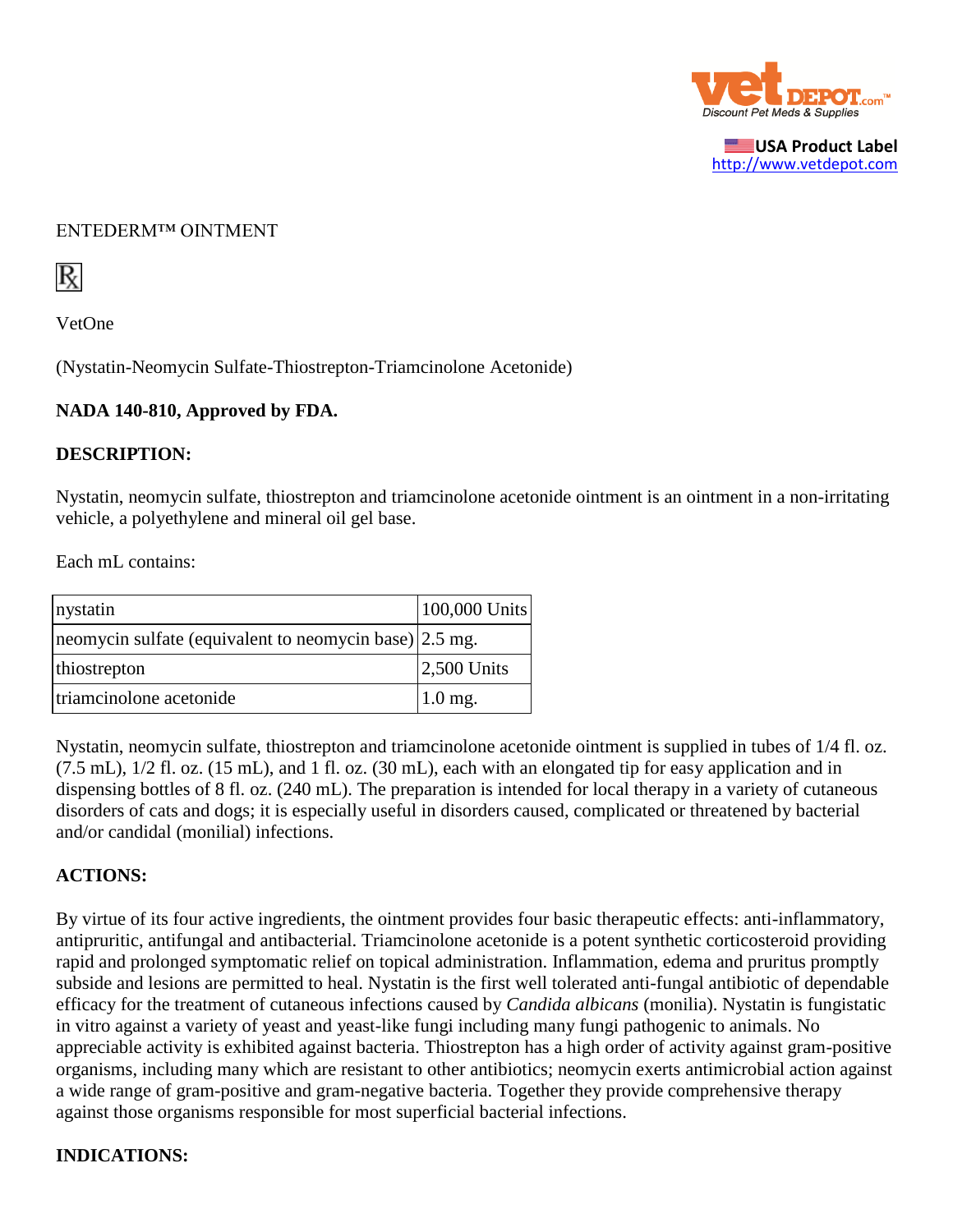

**USA Product Label** [http://www.vetdepot.com](http://www.vetdepot.com/)

### ENTEDERM™ OINTMENT



VetOne

(Nystatin-Neomycin Sulfate-Thiostrepton-Triamcinolone Acetonide)

#### **NADA 140-810, Approved by FDA.**

### **DESCRIPTION:**

Nystatin, neomycin sulfate, thiostrepton and triamcinolone acetonide ointment is an ointment in a non-irritating vehicle, a polyethylene and mineral oil gel base.

Each mL contains:

| nystatin                                               | 100,000 Units |
|--------------------------------------------------------|---------------|
| neomycin sulfate (equivalent to neomycin base) 2.5 mg. |               |
| thiostrepton                                           | $2,500$ Units |
| triamcinolone acetonide                                | $1.0$ mg.     |

Nystatin, neomycin sulfate, thiostrepton and triamcinolone acetonide ointment is supplied in tubes of 1/4 fl. oz. (7.5 mL), 1/2 fl. oz. (15 mL), and 1 fl. oz. (30 mL), each with an elongated tip for easy application and in dispensing bottles of 8 fl. oz. (240 mL). The preparation is intended for local therapy in a variety of cutaneous disorders of cats and dogs; it is especially useful in disorders caused, complicated or threatened by bacterial and/or candidal (monilial) infections.

### **ACTIONS:**

By virtue of its four active ingredients, the ointment provides four basic therapeutic effects: anti-inflammatory, antipruritic, antifungal and antibacterial. Triamcinolone acetonide is a potent synthetic corticosteroid providing rapid and prolonged symptomatic relief on topical administration. Inflammation, edema and pruritus promptly subside and lesions are permitted to heal. Nystatin is the first well tolerated anti-fungal antibiotic of dependable efficacy for the treatment of cutaneous infections caused by *Candida albicans* (monilia). Nystatin is fungistatic in vitro against a variety of yeast and yeast-like fungi including many fungi pathogenic to animals. No appreciable activity is exhibited against bacteria. Thiostrepton has a high order of activity against gram-positive organisms, including many which are resistant to other antibiotics; neomycin exerts antimicrobial action against a wide range of gram-positive and gram-negative bacteria. Together they provide comprehensive therapy against those organisms responsible for most superficial bacterial infections.

## **INDICATIONS:**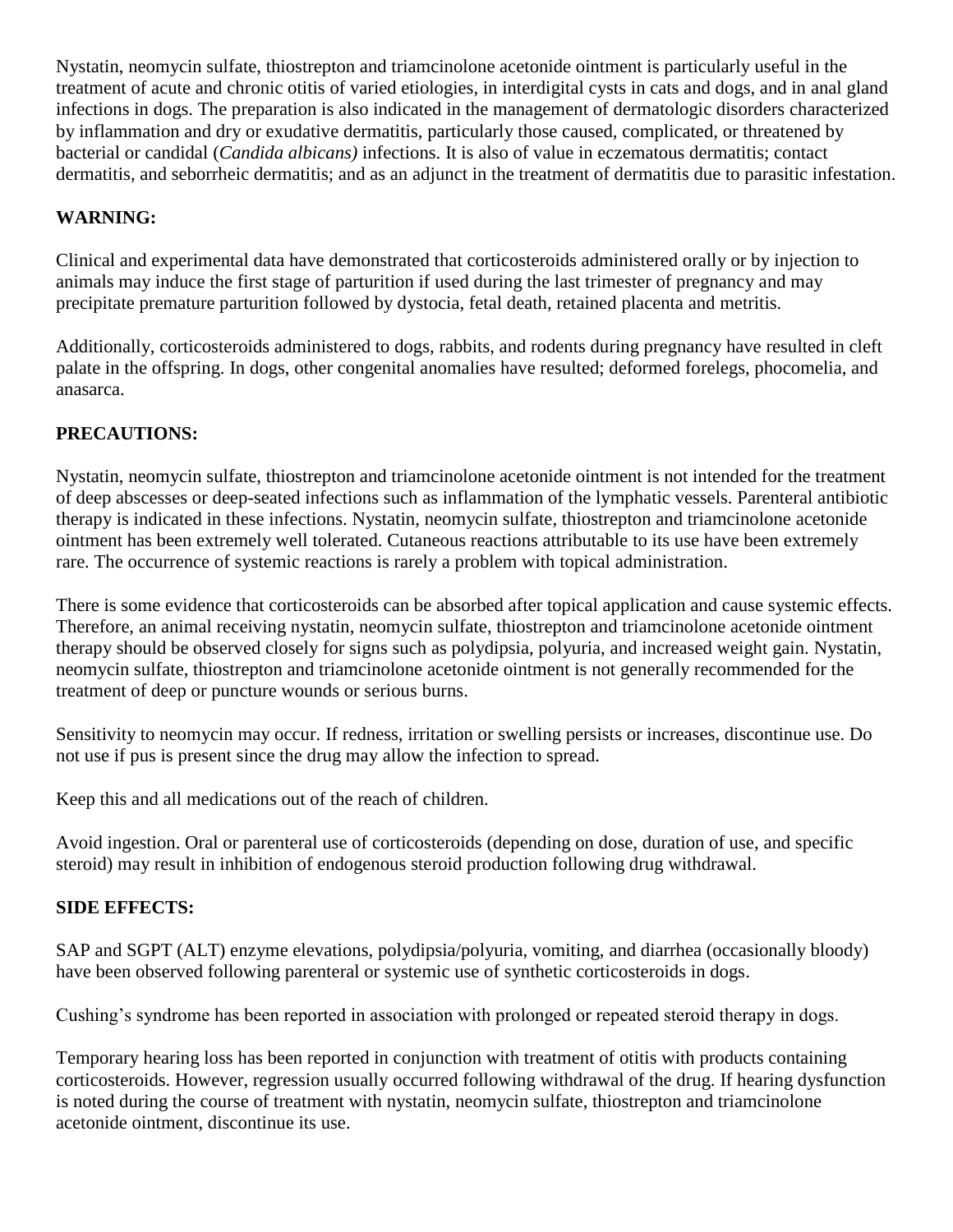Nystatin, neomycin sulfate, thiostrepton and triamcinolone acetonide ointment is particularly useful in the treatment of acute and chronic otitis of varied etiologies, in interdigital cysts in cats and dogs, and in anal gland infections in dogs. The preparation is also indicated in the management of dermatologic disorders characterized by inflammation and dry or exudative dermatitis, particularly those caused, complicated, or threatened by bacterial or candidal (*Candida albicans)* infections. It is also of value in eczematous dermatitis; contact dermatitis, and seborrheic dermatitis; and as an adjunct in the treatment of dermatitis due to parasitic infestation.

# **WARNING:**

Clinical and experimental data have demonstrated that corticosteroids administered orally or by injection to animals may induce the first stage of parturition if used during the last trimester of pregnancy and may precipitate premature parturition followed by dystocia, fetal death, retained placenta and metritis.

Additionally, corticosteroids administered to dogs, rabbits, and rodents during pregnancy have resulted in cleft palate in the offspring. In dogs, other congenital anomalies have resulted; deformed forelegs, phocomelia, and anasarca.

# **PRECAUTIONS:**

Nystatin, neomycin sulfate, thiostrepton and triamcinolone acetonide ointment is not intended for the treatment of deep abscesses or deep-seated infections such as inflammation of the lymphatic vessels. Parenteral antibiotic therapy is indicated in these infections. Nystatin, neomycin sulfate, thiostrepton and triamcinolone acetonide ointment has been extremely well tolerated. Cutaneous reactions attributable to its use have been extremely rare. The occurrence of systemic reactions is rarely a problem with topical administration.

There is some evidence that corticosteroids can be absorbed after topical application and cause systemic effects. Therefore, an animal receiving nystatin, neomycin sulfate, thiostrepton and triamcinolone acetonide ointment therapy should be observed closely for signs such as polydipsia, polyuria, and increased weight gain. Nystatin, neomycin sulfate, thiostrepton and triamcinolone acetonide ointment is not generally recommended for the treatment of deep or puncture wounds or serious burns.

Sensitivity to neomycin may occur. If redness, irritation or swelling persists or increases, discontinue use. Do not use if pus is present since the drug may allow the infection to spread.

Keep this and all medications out of the reach of children.

Avoid ingestion. Oral or parenteral use of corticosteroids (depending on dose, duration of use, and specific steroid) may result in inhibition of endogenous steroid production following drug withdrawal.

# **SIDE EFFECTS:**

SAP and SGPT (ALT) enzyme elevations, polydipsia/polyuria, vomiting, and diarrhea (occasionally bloody) have been observed following parenteral or systemic use of synthetic corticosteroids in dogs.

Cushing's syndrome has been reported in association with prolonged or repeated steroid therapy in dogs.

Temporary hearing loss has been reported in conjunction with treatment of otitis with products containing corticosteroids. However, regression usually occurred following withdrawal of the drug. If hearing dysfunction is noted during the course of treatment with nystatin, neomycin sulfate, thiostrepton and triamcinolone acetonide ointment, discontinue its use.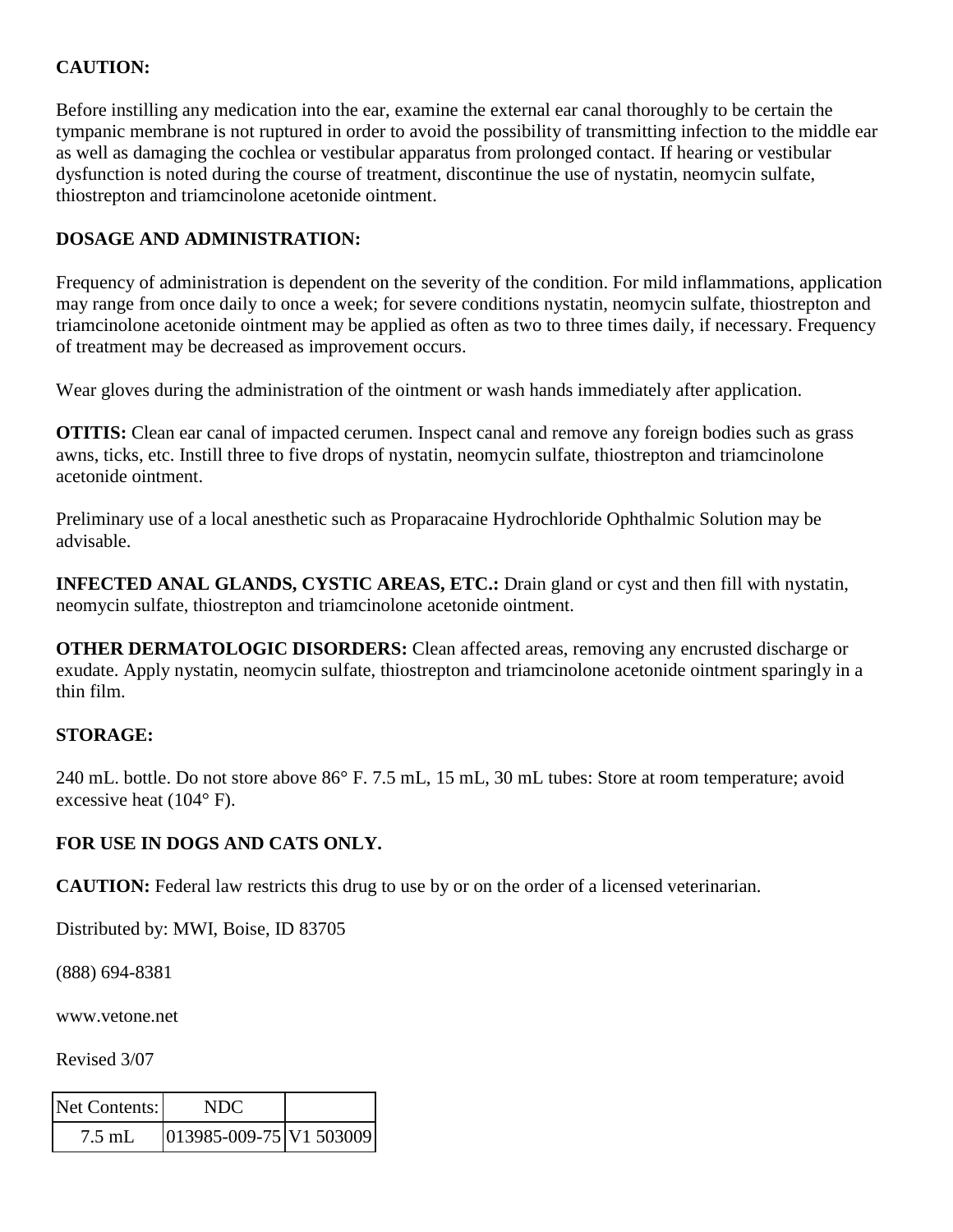# **CAUTION:**

Before instilling any medication into the ear, examine the external ear canal thoroughly to be certain the tympanic membrane is not ruptured in order to avoid the possibility of transmitting infection to the middle ear as well as damaging the cochlea or vestibular apparatus from prolonged contact. If hearing or vestibular dysfunction is noted during the course of treatment, discontinue the use of nystatin, neomycin sulfate, thiostrepton and triamcinolone acetonide ointment.

## **DOSAGE AND ADMINISTRATION:**

Frequency of administration is dependent on the severity of the condition. For mild inflammations, application may range from once daily to once a week; for severe conditions nystatin, neomycin sulfate, thiostrepton and triamcinolone acetonide ointment may be applied as often as two to three times daily, if necessary. Frequency of treatment may be decreased as improvement occurs.

Wear gloves during the administration of the ointment or wash hands immediately after application.

**OTITIS:** Clean ear canal of impacted cerumen. Inspect canal and remove any foreign bodies such as grass awns, ticks, etc. Instill three to five drops of nystatin, neomycin sulfate, thiostrepton and triamcinolone acetonide ointment.

Preliminary use of a local anesthetic such as Proparacaine Hydrochloride Ophthalmic Solution may be advisable.

**INFECTED ANAL GLANDS, CYSTIC AREAS, ETC.:** Drain gland or cyst and then fill with nystatin, neomycin sulfate, thiostrepton and triamcinolone acetonide ointment.

**OTHER DERMATOLOGIC DISORDERS:** Clean affected areas, removing any encrusted discharge or exudate. Apply nystatin, neomycin sulfate, thiostrepton and triamcinolone acetonide ointment sparingly in a thin film.

## **STORAGE:**

240 mL. bottle. Do not store above 86° F. 7.5 mL, 15 mL, 30 mL tubes: Store at room temperature; avoid excessive heat (104° F).

## **FOR USE IN DOGS AND CATS ONLY.**

**CAUTION:** Federal law restricts this drug to use by or on the order of a licensed veterinarian.

Distributed by: MWI, Boise, ID 83705

(888) 694-8381

www.vetone.net

Revised 3/07

| Net Contents: | NDC                             |  |
|---------------|---------------------------------|--|
| $7.5$ mL      | $ 013985 - 009 - 75 $ V1 503009 |  |